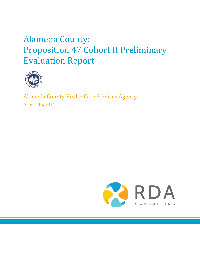# Alameda County: Proposition 47 Cohort II Preliminary Evaluation Report



Alameda County Health Care Services Agency August 15, 2021

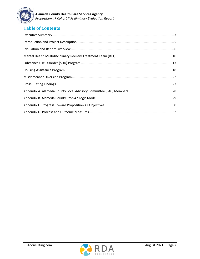

# **Table of Contents**

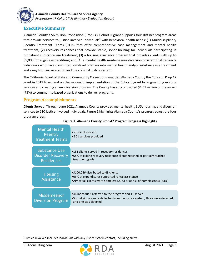

### <span id="page-2-0"></span>**Executive Summary**

Alameda County's \$6 million Proposition (Prop) 47 Cohort II grant supports four distinct program areas that provide services to justice-involved individuals<sup>1</sup> with behavioral health needs: (1) Multidisciplinary Reentry Treatment Teams (RTTs) that offer comprehensive case management and mental health treatment; (2) recovery residences that provide stable, sober housing for individuals participating in outpatient substance use treatment; (3) a housing assistance program that provides clients with up to \$5,000 for eligible expenditure; and (4) a mental health misdemeanor diversion program that redirects individuals who have committed low-level offenses into mental health and/or substance use treatment and away from incarceration and the criminal justice system.

The California Board of State and Community Corrections awarded Alameda County the Cohort II Prop 47 grant in 2019 to expand on the successful implementation of the Cohort I grant by augmenting existing services and creating a new diversion program. The County has subcontracted \$4.51 million of the award (75%) to community-based organizations to deliver programs.

### **Program Accomplishments**

**Clients Served.** Through June 2021, Alameda County provided mental health, SUD, housing, and diversion services to 210 justice-involved individuals. [Figure 1](#page-2-1) highlights Alameda County's progress across the four program areas.

<span id="page-2-1"></span>

| <b>Mental Health</b><br>Reentry<br><b>Treatment Teams</b>             | • 20 clients served<br>• 301 services provided                                                                                                                        |
|-----------------------------------------------------------------------|-----------------------------------------------------------------------------------------------------------------------------------------------------------------------|
| <b>Substance Use</b><br><b>Disorder Recovery</b><br><b>Residences</b> | •131 clients served in recovery residences<br>•68% of exiting recovery residence clients reached or partially reached<br>treatment goals                              |
| <b>Housing</b><br>Assistance                                          | • \$100,046 distributed to 48 clients<br>.63% of expenditures supported rental assistance<br>•Almost all clients were homeless (21%) or at risk of homelessness (63%) |
| <b>Misdemeanor</b><br><b>Diversion Program</b>                        | •46 individuals referred to the program and 11 served<br>•Six individuals were deflected from the justice system, three were deferred,<br>and one was diverted        |

#### **Figure 1. Alameda County Prop 47 Program Progress Highlights**



<sup>&</sup>lt;sup>1</sup> Justice-involved includes individuals with any justice system contact, including arrest.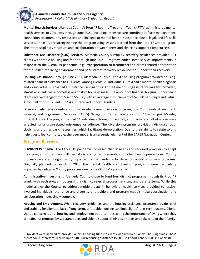

**Mental Health Services.** Alameda County's Prop 47 Reentry Treatment Teams (RTTs) administered mental health services to 20 clients through June 2021, including intensive care coordination/case management; connection to community resources; and linkages to mental health, substance abuse, legal, and life skills services. The RTTs are strengthening the program using lessons learned from the Prop 47 Cohort I grant. The interdisciplinary structure and collaboration between peers and clinicians support client success.

**Substance Use Disorder (SUD) Services.** Alameda County's Prop 47 recovery residences provided 131 clients with stable housing and food through June 2021. Programs added some service improvements in response to the COVID-19 pandemic (e.g., transportation to treatment) and clients shared appreciation for the structured living environment and peer staff at recovery residences to support their recovery.

**Housing Assistance.** Through June 2021, Alameda County's Prop 47 housing program provided housingrelated financial assistance to 48 clients. Among clients, 25 individuals(52%) had a mental health diagnosis and 27 individuals (56%) had a substance use diagnosis. At the time housing assistance was first provided, almost all clients were homeless or at risk of homelessness. The amount of financial housing support each client received ranged from \$32 to \$5,000, with an average disbursement of \$2,000 per unique individual. Almost all Cohort II clients (98%) also received Cohort I funding.<sup>2</sup>

**Diversion.** Alameda County's Prop 47 misdemeanor diversion program, the Community Assessment, Referral, and Engagement Services (CARES) Navigation Center, operates from 11 am-7 pm, Monday through Friday. The program served 11 individuals through June 2021, approximately half of whom were arrested for a drug-related misdemeanor offense. The diversion program provides individuals food, clothing, and other basic necessities, which facilitates de-escalation. Due to their ability to relate to and help guests feel comfortable, the peer model is an essential element of the CARES Navigation Center.

### **Program Barriers**

**COVID-19 Pandemic.** The COVID-19 pandemic increased clients' needs and required providers to adapt their programs to adhere with social distancing requirements and other health precautions. County processes were also significantly impacted by the pandemic by delaying contracts for new programs. Originally planned to launch in 2020, the mental health and diversion programs were particularly impacted by delays in County processes due to the COVID-19 pandemic.

**Administrative Investment.** Alameda County chose to fund four distinct programs through its Prop 47 grant, with each program possessing a distinct referral process, services, and data systems. While this model allows the County to address multiple gaps in behavioral health services provided to justiceinvolved individuals, the range and diversity of providers and program models make coordination and collaboration increasingly complex.

**Housing and Employment.** While recovery residences and the housing assistance program provide relief and stability for clients, a lack of long-term, affordable housing can limit clients' long-term success. Clients shared concerns about housing and employment opportunities, citing the importance of living where they are safe, not tempted by substance use, and able to support their basic needs and take care of their family.



<sup>&</sup>lt;sup>2</sup> Providers were allowed to provide Cohort II housing funds to clients who received Cohort I housing funds. These clients could, therefore, receive up to \$10,000 in housing assistance (\$5,000 in Cohort I and \$5,000 in Cohort II).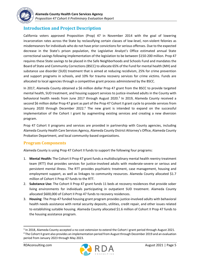

### <span id="page-4-0"></span>**Introduction and Project Description**

California voters approved Proposition (Prop) 47 in November 2014 with the goal of lowering incarceration rates across the State by reclassifying certain classes of low-level, non-violent felonies as misdemeanors for individuals who do not have prior convictions for serious offenses. Due to the expected decrease in the State's prison population, the Legislative Analyst's Office estimated annual State correctional savings following implementation of the legislation to be between \$150-200 million. Prop 47 requires these State savings to be placed in the Safe Neighborhoods and Schools Fund and mandates the Board of State and Community Corrections (BSCC) to allocate 65% of the Fund for mental health (MH) and substance use disorder (SUD) treatment that is aimed at reducing recidivism, 25% for crime prevention and support programs in schools, and 10% for trauma recovery services for crime victims. Funds are allocated to local agencies through a competitive grant process administered by the BSCC.

In 2017, Alameda County obtained a \$6 million dollar Prop 47 grant from the BSCC to provide targeted mental health, SUD treatment, and housing support services to justice-involved adults in the County with behavioral health needs from June 2017 through August 2020. 3 In 2019, Alameda County received a second \$6 million dollar Prop 47 grant as part of the Prop 47 Cohort II grant cycle to provide services from January 2020 through December 2022.<sup>4</sup> The new grant is intended to expand on the successful implementation of the Cohort I grant by augmenting existing services and creating a new diversion program.

Prop 47 Cohort II programs and services are provided in partnership with County agencies, including Alameda County Health Care Services Agency, Alameda County District Attorney's Office, Alameda County Probation Department, and local community-based organizations.

### **Program Components**

Alameda County is using Prop 47 Cohort II funds to support the following four programs:

- 1. **Mental Health:** The Cohort II Prop 47 grant funds a multidisciplinary mental health reentry treatment team (RTT) that provides services for justice-involved adults with moderate-severe or serious and persistent mental illness. The RTT provides psychiatric treatment, case management, housing and employment support, as well as linkages to community resources. Alameda County allocated \$1.7 million of Cohort II Prop 47 funds to the RTT.
- 2. **Substance Use:** The Cohort II Prop 47 grant funds 11 beds at recovery residences that provide sober living environments for individuals participating in outpatient SUD treatment. Alameda County allocated \$600,000 of Cohort II Prop 47 funds to recovery residences.
- 3. **Housing**: The Prop-47 funded housing grant program provides justice-involved adults with behavioral health needs assistance with rental security deposits, utilities, credit repair, and other issues related to establishing suitable housing. Alameda County allocated \$1.6 million of Cohort II Prop 47 funds to the housing assistance program.



<sup>&</sup>lt;sup>3</sup> In 2018, Alameda County accepted a no-cost extension to extend the Cohort I grant period through August 2021.

<sup>4</sup> The Cohort II grant also provides an implementation period from August through December 2019 and an evaluation period from January 2023 through May 2023.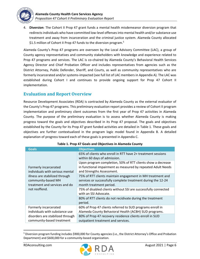

4. **Diversion**: The Cohort II Prop 47 grant funds a mental health misdemeanor diversion program that redirectsindividuals who have committed low-level offenses into mental health and/or substance use treatment and away from incarceration and the criminal justice system. Alameda County allocated \$1.5 million of Cohort II Prop 47 funds to the diversion program.<sup>5</sup>

Alameda County's Prop 47 programs are overseen by the Local Advisory Committee (LAC), a group of County agency representatives and community stakeholders with knowledge and experience related to Prop 47 programs and services. The LAC is co-chaired by Alameda County's Behavioral Health Services Agency Director and Chief Probation Officer and includes representatives from agencies such as the District Attorney, Public Defender, Sheriff, and Courts, as well as community representatives who are formerly incarcerated and/or systems-impacted (see full list of LAC members in Appendix A). The LAC was established during Cohort I and continues to provide ongoing support for Prop 47 Cohort II implementation.

### <span id="page-5-0"></span>**Evaluation and Report Overview**

Resource Development Associates (RDA) is contracted by Alameda County as the external evaluator of the County's Prop 47 programs. This preliminary evaluation report provides a review of Cohort II program implementation and preliminary client outcomes from the first year of Prop 47 activities in Alameda County. The purpose of the preliminary evaluation is to assess whether Alameda County is making progress toward the goals and objectives described in its Prop 47 proposal. The goals and objectives established by the County for its Prop 47 grant funded activities are detailed in [Table 1.](#page-5-1) These goals and objectives are further contextualized in the program logic model found in Appendix B. A detailed explanation of progress toward each of these goals is presented in Appendix C.

<span id="page-5-1"></span>

| <b>Goals</b>                                                                                                                                                       | <b>Objectives</b>                                                                                                                                        |
|--------------------------------------------------------------------------------------------------------------------------------------------------------------------|----------------------------------------------------------------------------------------------------------------------------------------------------------|
| Formerly incarcerated<br>individuals with serious mental<br>illness are stabilized through<br>community-based MH<br>treatment and services and do<br>not reoffend. | 65% of clients who enroll in RTT have 2+ treatment sessions<br>within 60 days of admission.                                                              |
|                                                                                                                                                                    | Upon program completion, 50% of RTT clients show a decrease<br>in functional impairment as measured by repeated Adult Needs<br>and Strengths Assessment. |
|                                                                                                                                                                    | 75% of RTT clients maintain engagement in MH treatment and<br>services or successfully complete treatment during the 12-24<br>month treatment period.    |
|                                                                                                                                                                    | 75% of disabled clients without SSI are successfully connected<br>with an SSI Advocate.                                                                  |
|                                                                                                                                                                    | 80% of RTT clients do not recidivate during the treatment<br>period.                                                                                     |
| Formerly incarcerated<br>individuals with substance use                                                                                                            | 60% of Prop 47 clients referred to SUD programs enroll in<br>Alameda County Behavioral Health (ACBH) SUD programs.                                       |
| disorders are stabilized through<br>community-based treatment                                                                                                      | 80% of Prop 47 recovery residence clients enroll in SUD<br>outpatient treatment and services.                                                            |

### **Table 1. Prop 47 Goals and Objectives in Alameda County**



<sup>&</sup>lt;sup>5</sup> Diversion program funding includes \$900,000 for County agencies (i.e., the District Attorney's Office and Probation Department) and \$600,000 for a community-based organization.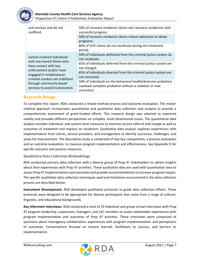

| and services and do not<br>reoffend.                                                                                                                                                                                                        | 50% of recovery residence clients exit recovery residences with<br>successful progress.                                                  |  |  |
|---------------------------------------------------------------------------------------------------------------------------------------------------------------------------------------------------------------------------------------------|------------------------------------------------------------------------------------------------------------------------------------------|--|--|
|                                                                                                                                                                                                                                             | 50% of recovery residence clients reduce admission to detox<br>programs.                                                                 |  |  |
|                                                                                                                                                                                                                                             | 80% of SUD clients do not recidivate during the treatment<br>period.                                                                     |  |  |
| Justice-involved individuals<br>with any mental illness who<br>have contact with law<br>enforcement and/or have<br>engaged in misdemeanor<br>criminal conduct are stabilized<br>through community-based<br>services to avoid incarceration. | 50% of individuals deflected from the criminal justice system do<br>not recidivate.                                                      |  |  |
|                                                                                                                                                                                                                                             | 65% of individuals deferred from the criminal justice system are<br>not charged.                                                         |  |  |
|                                                                                                                                                                                                                                             | 65% of individuals diverted from the criminal justice system are<br>not convicted.                                                       |  |  |
|                                                                                                                                                                                                                                             | 50% of individuals on the behavioral health/diversion probation<br>caseload complete probation without a violation or new<br>conviction. |  |  |

### **Research Design**

To complete this report, RDA conducted a mixed-method process and outcome evaluation. The mixedmethod approach incorporates quantitative and qualitative data collection and analysis to provide a comprehensive assessment of grant-funded efforts. This research design was selected to maximize validity and provides different perspectives on complex, multi-dimensional issues. The quantitative data analysis includes individual- and system-level measures to examine service referral and receipt as well as outcomes of treatment and impacts on recidivism. Qualitative data analysis explores experiences with implementation from clients, service providers, and management to identify successes, challenges, and areas for improvement. The descriptive study is comprised of two key components, a process evaluation and an outcome evaluation, to measure program implementation and effectiveness. See Appendix D for specific outcome and process measures.

### **Qualitative Data Collection Methodology**

RDA conducted primary data collection with a diverse group of Prop 47 stakeholders to obtain insights about their experiences with Prop 47 activities. These qualitative data are used with quantitative data to assess Prop 47 implementation and outcomes and provide recommendations to increase program impact. The specific qualitative data collection techniques used and limitations encountered in the data collection process are described below.

**Instrument Development.** RDA developed qualitative protocols to guide data collection efforts. These protocols were designed to be appropriate for diverse participants that come from a range of cultural, linguistic, and educational backgrounds.

**Key Informant Interviews.** RDA conducted a total of 23 individual and group virtual interviews with Prop 47 program leadership, supervisors, managers, and LAC members to assess stakeholder experiences with program implementation and outcomes of Prop 47 activities. These interviews were comprised of questions about interagency collaboration, experiences with program implementation, and perceptions of outcomes. Conversations focused on lessons learned, facilitators to success, and barriers to implementation.

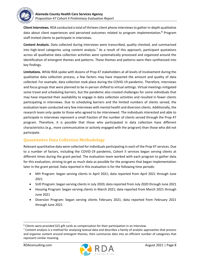

**Client Interviews.** RDA conducted a total of thirteen client phone interviews to gather in-depth qualitative data about client experiences and perceived outcomes related to program implementation.**<sup>6</sup>** Program staff invited clients to participate in interviews.

**Content Analysis.** Data collected during interviews were transcribed, quality checked, and summarized into high-level categories using content analysis.<sup>7</sup> As a result of this approach, participant quotations across all qualitative data collection activities were systematically processed and organized around the identification of emergent themes and patterns. These themes and patterns were then synthesized into key findings.

**Limitations.** While RDA spoke with dozens of Prop 47 stakeholders at all levels of involvement during the qualitative data collection process, a few factors may have impacted the amount and quality of data collected. For example, data collection took place during the COVID-19 pandemic. Therefore, interviews and focus groups that were planned to be in-person shifted to virtual settings. Virtual meetings mitigated some travel and scheduling barriers, but the pandemic also created challenges for some individuals that may have impacted their availability to engage in data collection activities and resulted in fewer clients participating in interviews. Due to scheduling barriers and the limited numbers of clients served, the evaluation team conducted very few interviews with mental health and diversion clients. Additionally, the research team only spoke to those who agreed to be interviewed. The individuals interested and able to participate in interviews represent a small fraction of the number of clients served through the Prop 47 program. Therefore, it is possible that those who participated in data collection have different characteristics (e.g., more communicative or actively engaged with the program) than those who did not participate.

### **Quantitative Data Collection Methodology**

Relevant quantitative data were collected for individuals participating in each of the Prop 47 services. Due to a number of factors, including the COVID-19 pandemic, Cohort II services began serving clients at different times during the grant period. The evaluation team worked with each program to gather data for this evaluation, striving to get as much data as possible for the programs that began implementation later in the grant period. Data reported in this evaluation is for the following time periods:

- MH Program: began serving clients in April 2021; data reported from April 2021 through June 2021
- SUD Program: began serving clients in July 2020; data reported from July 2020 through June 2021
- Housing Program: began serving clients in March 2021; data reported from March 2021 through June 2021
- Diversion Program: began serving clients February 2021; data reported from February 2021 through June 2021



<sup>6</sup> Clients were provided \$25 gift cards as compensation for their participation in an interview.

 $7$  Content analysis is a method for analyzing textual data and describes a family of analytic approaches that process and organize content around emergent themes, then summarize data into an efficient number of categories that represent similar meaning.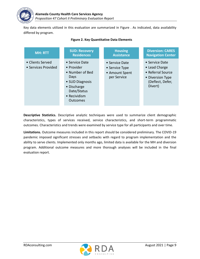

Key data elements utilized in this evaluation are summarized in [Figure .](#page-8-0) As indicated, data availability differed by program.

<span id="page-8-0"></span>

| <b>MH: RTT</b>                          | <b>SUD: Recovery</b>                                                                                                                        | <b>Housing</b>                                                    | <b>Diversion: CARES</b>                                                                                 |
|-----------------------------------------|---------------------------------------------------------------------------------------------------------------------------------------------|-------------------------------------------------------------------|---------------------------------------------------------------------------------------------------------|
|                                         | <b>Residences</b>                                                                                                                           | <b>Assistance</b>                                                 | <b>Navigation Center</b>                                                                                |
| • Clients Served<br>• Services Provided | • Service Date<br>• Provider<br>• Number of Bed<br><b>Days</b><br>• SUD Diagnosis<br>• Discharge<br>Date/Status<br>• Recividism<br>Outcomes | • Service Date<br>• Service Type<br>• Amount Spent<br>per Service | • Service Date<br>• Lead Charge<br>• Referral Source<br>• Diversion Type<br>(Deflect, Defer,<br>Divert) |

#### **Figure 2. Key Quantitative Data Elements Figure 2. Key Quantitative Data Elements**

**Descriptive Statistics.** Descriptive analytic techniques were used to summarize client demographic characteristics, types of services received, service characteristics, and short-term programmatic outcomes. Characteristics and trends were examined by service type for all participants and over time.

**Limitations.** Outcome measures included in this report should be considered preliminary. The COVID-19 pandemic imposed significant stresses and setbacks with regard to program implementation and the ability to serve clients. Implemented only months ago, limited data is available for the MH and diversion program. Additional outcome measures and more thorough analyses will be included in the final evaluation report.

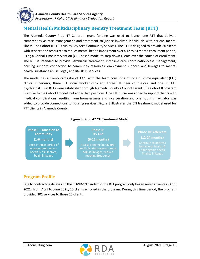

# <span id="page-9-0"></span>**Mental Health Multidisciplinary Reentry Treatment Team (RTT)**

The Alameda County Prop 47 Cohort II grant funding was used to launch one RTT that delivers comprehensive case management and treatment to justice-involved individuals with serious mental illness. The Cohort II RTT is run by Bay Area Community Services. The RTT is designed to provide 80 clients with services and resources to reduce mental health impairment over a 12 to 24 month enrollment period, using a Critical Time Intervention (CTI)-based model to step-down clients over the course of enrollment. The RTT is intended to provide psychiatric treatment, intensive care coordination/case management; housing support; connection to community resources; employment support; and linkages to mental health, substance abuse, legal, and life skills services.

The model has a client/staff ratio of 13:1, with the team consisting of: one full-time equivalent (FTE) clinical supervisor, three FTE social worker clinicians, three FTE peer counselors, and one .15 FTE psychiatrist. Two RTTs were established through Alameda County's Cohort I grant. The Cohort II program is similar to the Cohort I model, but added two positions. One FTE nurse was added to support clients with medical complications resulting from homelessness and incarceration and one housing navigator was added to provide connections to housing services. Figure 3 illustrates the CTI treatment model used for RTT clients in Alameda County.

### **Figure 3. Prop 47 CTI Treatment Model**



### **Program Profile**

Due to contracting delays and the COVID-19 pandemic, the RTT program only began serving clients in April 2021. From April to June 2021, 20 clients enrolled in the program. During this time period, the program provided 301 services to those 20 clients.

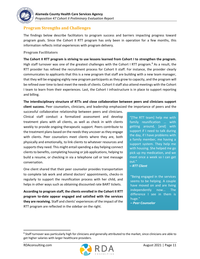

### **Program Strengths and Challenges**

The findings below describe facilitators to program success and barriers impacting progress toward program goals. Since the Cohort II RTT program has only been in operation for a few months, this information reflects initial experiences with program delivery.

#### **Program Facilitators**

**The Cohort II RTT program is striving to use lessons learned from Cohort I to strengthen the program.**  High staff turnover was one of the greatest challenges with the Cohort I RTT program.<sup>8</sup> As a result, the RTT provider has refined the recruitment process for Cohort II staff. For instance, the provider clearly communicates to applicants that this is a new program that staff are building with a new team manager, that they will be engaging eighty new program participants as they grow to capacity, and the program will be refined over time to best meet the needs of clients. Cohort II staff also attend meetings with the Cohort I team to learn from their experiences. Last, the Cohort I infrastructure is in place to support reporting and billing.

### **The interdisciplinary structure of RTTs and close collaboration between peers and clinicians support client success.** Peer counselors, clinicians, and leadership emphasized the importance of peers and the

successful collaborative relationship between peers and clinicians. Clinical staff conduct a formalized assessment and develop treatment plans with all clients, as well as check in with clients weekly to provide ongoing therapeutic support. Peers contribute to the treatment plans based on the needs they uncover as they engage with clients. Peer counselors meet clients where they are, both physically and emotionally, to link clients to whatever resources and supports they need. This might entail spending a day helping connect clients to benefits, completing housing or job applications, helping to build a resume, or checking in via a telephone call or text message conversation.

One client shared that their peer counselor provides transportation to complete lab work and attend doctors' appointments, checks-in regularly to support the reunification process with her child, and helps in other ways such as obtaining discounted rate BART tickets.

**According to program staff, the clients enrolled in the Cohort II RTT program to-date appear engaged and satisfied with the services they are receiving.** Staff and clients' experiences of the impact of the RTT program are reflected in the sidebar on the right.

"[The RTT team] help me with family reunification … with getting around, [and] with support if I need to talk during the day, if I have problems with a family member, me having a support system. They help me with housing. She helped me go pick up my medication, and we meet once a week so I can get out."

#### *– RTT Client*

"Being engaged in the services seems to be helping. A couple have moved on and are living independently now... The difference I see in them is huge."

*– Peer Counselor*



<sup>&</sup>lt;sup>8</sup> Staff turnover was particularly high for clinicians and generally attributed to the market, since clinicians are able to get higher salaries with larger healthcare providers.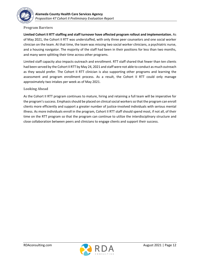

### **Program Barriers**

**Limited Cohort II RTT staffing and staff turnover have affected program rollout and implementation.** As of May 2021, the Cohort II RTT was understaffed, with only three peer counselors and one social worker clinician on the team. At that time, the team was missing two social worker clinicians, a psychiatric nurse, and a housing navigator. The majority of the staff had been in their positions for less than two months, and many were splitting their time across other programs.

Limited staff capacity also impacts outreach and enrollment. RTT staff shared that fewer than ten clients had been served by the Cohort II RTT by May 24, 2021 and staff were not able to conduct as much outreach as they would prefer. The Cohort II RTT clinician is also supporting other programs and learning the assessment and program enrollment process. As a result, the Cohort II RTT could only manage approximately two intakes per week as of May 2021.

#### **Looking Ahead**

As the Cohort II RTT program continues to mature, hiring and retaining a full team will be imperative for the program's success. Emphasis should be placed on clinical social workers so that the program can enroll clients more efficiently and support a greater number of justice-involved individuals with serious mental illness. As more individuals enroll in the program, Cohort II RTT staff should spend most, if not all, of their time on the RTT program so that the program can continue to utilize the interdisciplinary structure and close collaboration between peers and clinicians to engage clients and support their success.

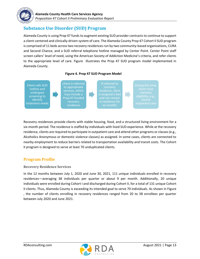

# <span id="page-12-0"></span>**Substance Use Disorder (SUD) Program**

Alameda County is using Prop 47 funds to augment existing SUD provider contracts to continue to support a client-centered and clinically-driven system of care. The Alameda County Prop 47 Cohort II SUD program is comprised of 11 beds across two recovery residences run by two community-based organizations, CURA and Second Chance, and a SUD referral telephone hotline managed by Center Point. Center Point staff screen callers' level of need, using the American Society of Addiction Medicine's criteria, and refer clients to the appropriate level of care. [Figure](#page-12-1) illustrates the Prop 47 SUD program model implemented in Alameda County.



<span id="page-12-1"></span>

Recovery residences provide clients with stable housing, food, and a structured living environment for a six-month period. The residence is staffed by individuals with lived SUD experience. While at the recovery residence, clients are required to participate in outpatient care and attend other programs or classes (e.g., Alcoholics Anonymous or domestic violence classes) as assigned. In some cases, clients are connected to nearby employment to reduce barriers related to transportation availability and transit costs. The Cohort II program is designed to serve at least 70 unduplicated clients.

### **Program Profile**

**Recovery Residence Services** 

In the 12 months between July 1, 2020 and June 30, 2021, 111 unique individuals enrolled in recovery residences—averaging 38 individuals per quarter or about 9 per month. Additionally, 20 unique individuals were enrolled during Cohort I and discharged during Cohort II, for a total of 131 unique Cohort II clients. Thus, Alameda County is exceeding its intended goal to serve 70 individuals. As shown in [Figure](#page-13-0)  , the number of clients enrolling in recovery residences ranged from 20 to 38 enrollees per quarter between July 2020 and June 2021.

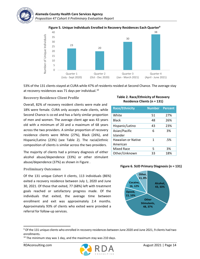### **Figure 5. Unique Individuals Enrolled in Recovery Residences Each Quarte[r](#page-13-3)<sup>9</sup>**

<span id="page-13-0"></span>

53% of the 131 clients stayed at CURA while 47% of residents resided at Second Chance. The average stay at recovery residences was 71 days per individual. $^{10}$ 

#### **Recovery Residence Client Profile**

Overall, 82% of recovery resident clients were male and 18% were female. CURA only accepts male clients, while Second Chance is co-ed and has a fairly similar proportion of men and women. The average client age was 43 years old with a minimum of 20 and a maximum of 68 years across the two providers. A similar proportion of recovery residence clients were White (27%), Black (26%), and Hispanic/Latino (23%) (see [Table 2\)](#page-13-1). The racial/ethnic composition of clients is similar across the two providers.

The majority of clients had a primary diagnosis of either alcohol abuse/dependence (33%) or other stimulant abuse/dependence (37%) as shown in [Figure .](#page-13-2)

#### **Preliminary Outcomes**

Of the 131 unique Cohort II clients, 113 individuals (86%) exited a recovery residence between July 1, 2020 and June 30, 2021. Of those that exited, 77 (68%) left with treatment goals reached or satisfactory progress made. Of the individuals that exited, the average time between enrollment and exit was approximately 2.4 months. Approximately 93% of clients who exited were provided a referral for follow-up services.

### <span id="page-13-3"></span><span id="page-13-1"></span>**Table 2. Race/Ethnicity of Recovery Residence Clients (n = 131)**

| <b>Race/Ethnicity</b> | <b>Number</b> | <b>Percent</b> |
|-----------------------|---------------|----------------|
| White                 | 51            | 27%            |
| Black                 | 48            | 26%            |
| Hispanic/Latino       | 43            | 23%            |
| Asian/Pacific         | 6             | 3%             |
| Islander              |               |                |
| Hawaiian or Native    | 1             | .5%            |
| American              |               |                |
| <b>Mixed Race</b>     | 5             | 3%             |
| Other/Unknown         | 33            | 18%            |

#### <span id="page-13-2"></span>**Figure 6. SUD Primary Diagnosis (n = 131)**



<sup>9</sup> Of the 131 unique clients who enrolled in recovery residences between June 2020 and June 2021, 9 clients had two enrollments.



 $10$  The minimum stay was 1 day, and the maximum stay was 210 days.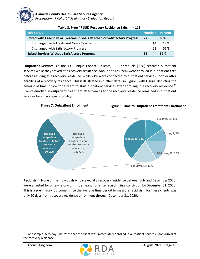

| <b>Exit Status</b>                                                               | <b>Number</b> | Percent |
|----------------------------------------------------------------------------------|---------------|---------|
| <b>Exited with Case Plan or Treatment Goals Reached or Satisfactory Progress</b> | 77            | 68%     |
| Discharged with Treatment Goals Reached                                          | 14            | 12%     |
| Discharged with Satisfactory Progress                                            | 63            | 56%     |
| <b>Exited Services Without Satisfactory Progress</b>                             | 36            | 32%     |

**Table 3. Prop 47 SUD Recovery Residence Exits (n = 113)**

**Outpatient Services.** Of the 131 unique Cohort II clients, 103 individuals (79%) received outpatient services while they stayed at a recovery residence. About a third (29%) were enrolled in outpatient care before residing at a recovery residence, while 71% were connected to outpatient services upon or after enrolling at a recovery residence. This is illustrated in further detail in [Figure ,](#page-14-0) with [Figure](#page-14-1) depicting the amount of time it took for a client to start outpatient services after enrolling in a recovery residence.<sup>11</sup> Clients enrolled in outpatient treatment after coming to the recovery residence remained in outpatient services for an average of 80 days.

<span id="page-14-1"></span><span id="page-14-0"></span>

**Recidivism.** None of the individuals who stayed at a recovery residence between July and December 2020, were arrested for a new felony or misdemeanor offense resulting in a conviction by December 31, 2020. This is a preliminary outcome, since the average time period to measure recidivism for these clients was only 90 days from recovery residence enrollment through December 31, 2020.



 $11$  For example, zero days indicates that the client was immediately enrolled in outpatient services upon arrival at the recovery residence.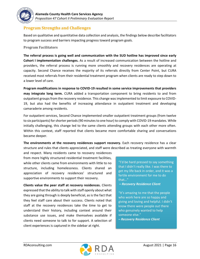

### **Program Strengths and Challenges**

Based on qualitative and quantitative data collection and analysis, the findings below describe facilitators to program success and barriers impacting progress toward program goals.

### **Program Facilitators**

**The referral process is going well and communication with the SUD hotline has improved since early Cohort I implementation challenges.** As a result of increased communication between the hotline and providers, the referral process is running more smoothly and recovery residences are operating at capacity. Second Chance receives the majority of its referrals directly from Center Point, but CURA received most referrals from their residential treatment program when clients are ready to step down to a lower level of care.

**Program modifications in response to COVID-19 resulted in some service improvements that providers may integrate long term.** CURA added a transportation component to bring residents to and from outpatient groups from the recovery residence. This change was implemented to limit exposure to COVID-19, but also had the benefits of increasing attendance in outpatient treatment and developing camaraderie among residents.

For outpatient services, Second Chance implemented smaller outpatient treatment groups (from twelve to six participants) for shorter periods (90 minutesto one hour) to comply with COVID-19 mandates. While initially challenging, this change led to the same clients attending groups with each other more often. Within this context, staff reported that clients became more comfortable sharing and conversations became deeper.

**The environments at the recovery residences support recovery.** Each recovery residence has a clear structure and rules that clients appreciated, and staff were described as treating everyone with warmth

and respect. Many residents came to recovery residences from more highly structured residential treatment facilities, while other clients came from environments with little to no structure, including homelessness. Clients shared an appreciation of recovery residences' structured and supportive environments to support their recovery.

**Clients value the peer staff at recovery residences.** Clients expressed that the ability to talk with staff openly about what they are going through is deeply beneficial, as is the fact that they feel staff care about their success. Clients noted that staff at the recovery residences take the time to get to understand their history, including context around their substance use issues, and make themselves available if clients need someone to talk to for support. A selection of client experiences is captured in the sidebar at right.

"I'd be hard pressed to say something that I didn't really like. I was there to get my life back in order, and it was a fertile environment for me to do that…"

*– Recovery Residence Client*

"It's amazing to me that the people who work here are so happy and giving and loving and helpful. I didn't know there were people out there who genuinely wanted to help someone else."

*– Recovery Residence Client*

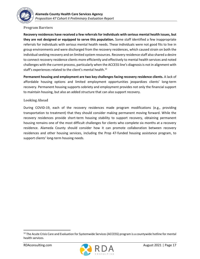

#### **Program Barriers**

**Recovery residences have received a few referrals for individuals with serious mental health issues, but they are not designed or equipped to serve this population.** Some staff identified a few inappropriate referrals for individuals with serious mental health needs. These individuals were not good fits to live in group environments and were discharged from the recovery residences, which caused strain on both the individual seeking recovery and on limited system resources. Recovery residence staff also shared a desire to connect recovery residence clients more efficiently and effectively to mental health services and noted challenges with the current process, particularly when the ACCESS line's diagnosis is not in alignment with staff's experiences related to the client's mental health.<sup>12</sup>

**Permanent housing and employment are two key challenges facing recovery residence clients.** A lack of affordable housing options and limited employment opportunities jeopardizes clients' long-term recovery. Permanent housing supports sobriety and employment provides not only the financial support to maintain housing, but also an added structure that can also support recovery.

#### **Looking Ahead**

During COVID-19, each of the recovery residences made program modifications (e.g., providing transportation to treatment) that they should consider making permanent moving forward. While the recovery residences provide short-term housing stability to support recovery, obtaining permanent housing remains one of the most difficult challenges for clients who complete six months at a recovery residence. Alameda County should consider how it can promote collaboration between recovery residences and other housing services, including the Prop 47-funded housing assistance program, to support clients' long-term housing needs.



<sup>&</sup>lt;sup>12</sup> The Acute Crisis Care and Evaluation for Systemwide Services (ACCESS) program is a countywide hotline for mental health services.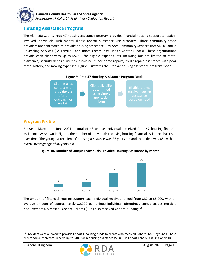

### <span id="page-17-0"></span>**Housing Assistance Program**

The Alameda County Prop 47 housing assistance program provides financial housing support to justiceinvolved individuals with mental illness and/or substance use disorders. Three community-based providers are contracted to provide housing assistance: Bay Area Community Services (BACS), La Familia Counseling Services (LA Familia), and Roots Community Health Center (Roots). These organizations provide each client with up to \$5,000 for eligible expenditures, including but not limited to rental assistance, security deposit, utilities, furniture, minor home repairs, credit repair, assistance with poor rental history, and moving expenses. [Figure](#page-17-1) illustrates the Prop 47 housing assistance program model.

<span id="page-17-1"></span>



### **Program Profile**

Between March and June 2021, a total of 48 unique individuals received Prop 47 housing financial assistance. As shown in [Figure ,](#page-17-2) the number of individuals receiving housing financial assistance has risen over time. The youngest recipient of housing assistance was 25 years old and the oldest was 65, with an overall average age of 46 years old.

<span id="page-17-2"></span>**Figure 10. Number of Unique Individuals Provided Housing Assistance by Month**



The amount of financial housing support each individual received ranged from \$32 to \$5,000, with an average amount of approximately \$2,000 per unique individual, oftentimes spread across multiple disbursements. Almost all Cohort II clients (98%) also received Cohort I funding.<sup>13</sup>



<sup>&</sup>lt;sup>13</sup> Providers were allowed to provide Cohort II housing funds to clients who received Cohort I housing funds. These clients could, therefore, receive up to \$10,000 in housing assistance (\$5,000 in Cohort I and \$5,000 in Cohort II).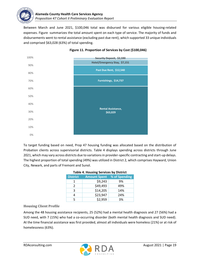

Between March and June 2021, \$100,046 total was disbursed for various eligible housing-related expenses. [Figure](#page-18-0) summarizes the total amount spent on each type of service. The majority of funds and disbursements went to rental assistance (excluding past due rent), which supported 33 unique individuals and comprised \$63,028 (63%) of total spending.

<span id="page-18-0"></span>

### **Figure 11. Proportion of Services by Cost (\$100,046)**

<span id="page-18-1"></span>To target funding based on need, Prop 47 housing funding was allocated based on the distribution of Probation clients across supervisorial districts. [Table 4](#page-18-1) displays spending across districts through June 2021, which may vary across districts due to variations in provider-specific contracting and start-up delays. The highest proportion of total spending (49%) was utilized in District 2, which comprises Hayward, Union City, Newark, and parts of Fremont and Sunol.

| <b>Table 4. Housing Services by District</b> |                     |               |  |  |
|----------------------------------------------|---------------------|---------------|--|--|
| <b>District</b>                              | <b>Amount Spent</b> | % of Spending |  |  |
|                                              | \$9,243             | 9%            |  |  |
| $\mathcal{P}$                                | \$49,493            | 49%           |  |  |
| 3                                            | \$14,205            | 14%           |  |  |
|                                              | \$23,947            | 24%           |  |  |
|                                              | \$2,959             | 3%            |  |  |

### **Table 4. Housing Services by District**

### **Housing Client Profile**

Among the 48 housing assistance recipients, 25 (52%) had a mental health diagnosis and 27 (56%) had a SUD need, with 7 (15%) who had a co-occurring disorder (both mental health diagnosis and SUD need). At the time financial assistance was first provided, almost all individuals were homeless (21%) or at risk of homelessness (63%).

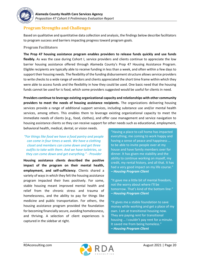

### **Program Strengths and Challenges**

Based on qualitative and quantitative data collection and analysis, the findings below describe facilitators to program success and barriers impacting progress toward program goals.

### **Program Facilitators**

**The Prop 47 housing assistance program enables providers to release funds quickly and use funds**  flexibly. As was the case during Cohort I, service providers and clients continue to appreciate the low barrier housing assistance offered through Alameda County's Prop 47 Housing Assistance Program. Eligible recipients are typically able to receive funding in less than a week, and often within a few days to support their housing needs. The flexibility of the funding disbursement structure allows service providers to write checks to a wide range of vendors and clients appreciated the short time frame within which they were able to access funds and the flexibility in how they could be used. One basic need that the housing funds cannot be used for is food, which some providers suggested would be useful for clients in need.

**Providers continue to leverage existing organizational capacity and relationships with other community providers to meet the needs of housing assistance recipients.** The organizations delivering housing services provide a range of additional support services, including substance use and/or mental health services, among others. This enables them to leverage existing organizational capacity to meet the immediate needs of clients (e.g., food, clothes), and offer case management and service navigation to housing assistance clients so they can receive support for other needs such as educational, employment, behavioral health, medical, dental, or vision needs.

*"For things like food we have a food pantry and people can come in four times a week. We have a clothing closet and members can come down and get three outfits to take with them. And we have toiletries, so they can come down and get everything." - Provider* 

**Housing assistance clients described the positive impact of the program on their mental health, employment, and self-sufficiency**. Clients shared a variety of ways in which they felt the housing assistance program impacted their lives positively. For some, stable housing meant improved mental health and relief from the chronic stress and trauma of homelessness, and the ability to pay for things like medicine and public transportation. For others, the housing assistance program provided the foundation for becoming financially secure, avoiding homelessness, and thriving. A selection of client experiences is captured in the sidebar at right.

"Having a place to call home has impacted everything; me coming to work happy and having a sense of peace and happiness … to be able to invite people over at my house and have family members over for dinner. It has given me stability and the ability to continue working on myself, my credit, my rental history, and all that. It has had a very good impact on my life course." *– Housing Program Client* 

"It gave me a little bit of mental freedom, not the worry about where I'll be tomorrow. That's kind of the bottom line." *– Housing Program Client*

"It gives me a stable foundation to save money while working and get a place of my own. I am at transitional housing now. They are paying rent for transitional housing … I couldn't pay rent for a minute. It saved me from being homeless." *– Housing Program Client*

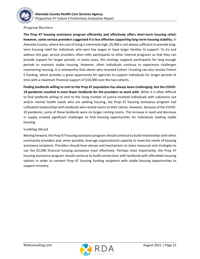

#### **Program Barriers**

**The Prop 47 housing assistance program efficiently and effectively offers short-term housing relief; however, some service providers suggested it is less effective supporting long-term housing stability.** In Alameda County, where the cost of living is extremely high, \$5,000 is not always sufficient to provide longterm housing relief for individuals who earn low wages or have larger families to support. To try and address this gap, service providers often refer participants to other internal programs so that they can provide support for longer periods. In some cases, this strategy supports participants for long enough periods to maintain stable housing. However, often individuals continue to experience challenges maintaining housing. It is noteworthy that clients who received Cohort I funding can also receive Cohort II funding, which provides a great opportunity for agencies to support individuals for longer periods of time with a maximum financial support of \$10,000 over the two cohorts.

**Finding landlords willing to rent to the Prop 47 population has always been challenging; but the COVID-19 pandemic resulted in even fewer landlords for the providers to work with.** While it is often difficult to find landlords willing to rent to the rising number of justice-involved individuals with substance use and/or mental health needs who are seeking housing, the Prop 47 housing assistance program had cultivated relationships with landlords who rented rooms to their clients. However, because of the COVID-19 pandemic, some of these landlords were no longer renting rooms. The increase in need and decrease in supply created significant challenges to find housing opportunities for individuals seeking stable housing.

#### **Looking Ahead**

Moving forward, the Prop 47 housing assistance program should continue to build relationships with other community providers and, when possible, leverage organizational capacity to meet the needs of housing assistance recipients. Providers should have venues and mechanisms to share resources and strategies to use the \$5,000 financial housing assistance most effectively. Perhaps most importantly, the Prop 47 housing assistance program should continue to build connections with landlords with affordable housing options in order to connect Prop 47 housing funding recipients with stable housing opportunities to support recovery.

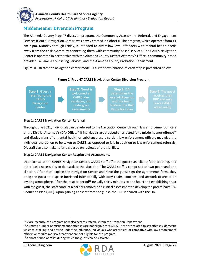

### <span id="page-21-0"></span>**Misdemeanor Diversion Program**

The Alameda County Prop 47 diversion program, the Community Assessment, Referral, and Engagement Services (CARES) Navigation Center, was newly created in Cohort II. The program, which operates from 11 am-7 pm, Monday through Friday, is intended to divert low-level offenders with mental health needs away from the crisis system by connecting them with community-based services. The CARES Navigation Center is operated in partnership with the Alameda County District Attorney's Office, a community-based provider, La Familia Counseling Services, and the Alameda County Probation Department.

[Figure i](#page-21-1)llustrates the navigation center model. A further explanation of each step is presented below.

<span id="page-21-1"></span>

### **Step 1: CARES Navigation Center Referral**

Through June 2021, individuals can be referred to the Navigation Center through law enforcement officers or the District Attorney's (DA) Office.<sup>14</sup> If individuals are stopped or arrested for a misdemeanor offense<sup>15</sup> and display signs of a mental health or substance use disorder, law enforcement officers may give the individual the option to be taken to CARES, as opposed to jail. In addition to law enforcement referrals, DA staff can also make referrals based on reviews of pretrial files.

### **Step 2: CARES Navigation Center Respite and Assessments**

Upon arrival at the CARES Navigation Center, CARES staff offer the guest (i.e., client) food, clothing, and other basic necessities to de-escalate the situation. The CARES staff is comprised of two peers and one clinician. After staff explain the Navigation Center and have the guest sign the agreements form, they bring the guest to a space furnished intentionally with cozy chairs, couches, and artwork to create an inviting atmosphere. After the respite period<sup>16</sup> (usually thirty minutes to one hour) and establishing trust with the guest, the staff conduct a barrier removal and clinical assessment to develop the preliminary Risk Reduction Plan (RRP). Upon gaining consent from the guest, the RRP is shared with the DA.

<sup>16</sup> A short period of relief during which the guest can de-escalate.



 $14$  More recently, the program now also accepts referrals from the Probation Department.

<sup>&</sup>lt;sup>15</sup> A limited number of misdemeanor offenses are not eligible for CARES. These are related to sex offenses, domestic violence, stalking, and driving under the influence. Individuals who are violent or combative with law enforcement officers or require medical treatment are not eligible for the program.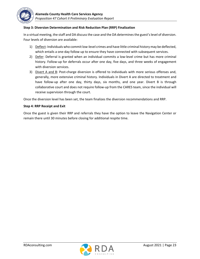

### **Step 3: Diversion Determination and Risk Reduction Plan (RRP) Finalization**

In a virtual meeting, the staff and DA discuss the case and the DA determines the guest's level of diversion. Four levels of diversion are available:

- 1) Deflect: Individuals who commit low-level crimes and have little criminal history may be deflected, which entails a one-day follow up to ensure they have connected with subsequent services.
- 2) Defer: Deferral is granted when an individual commits a low-level crime but has more criminal history. Follow-up for deferrals occur after one day, five days, and three weeks of engagement with diversion services.
- 3) Divert A and B: Post-charge diversion is offered to individuals with more serious offenses and, generally, more extensive criminal history. Individuals in Divert A are directed to treatment and have follow-up after one day, thirty days, six months, and one year. Divert B is through collaborative court and does not require follow-up from the CARES team, since the individual will receive supervision through the court.

Once the diversion level has been set, the team finalizes the diversion recommendations and RRP.

#### **Step 4: RRP Receipt and Exit**

Once the guest is given their RRP and referrals they have the option to leave the Navigation Center or remain there until 30 minutes before closing for additional respite time.

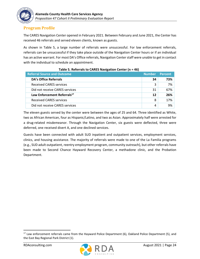

### **Program Profile**

The CARES Navigation Center opened in February 2021. Between February and June 2021, the Center has received 46 referrals and served eleven clients, known as guests.

As shown in [Table 5,](#page-23-0) a large number of referrals were unsuccessful. For law enforcement referrals, referrals can be unsuccessful if they take place outside of the Navigation Center hours or if an individual has an active warrant. For most DA's Office referrals, Navigation Center staff were unable to get in contact with the individual to schedule an appointment.

<span id="page-23-0"></span>

| <b>Referral Source and Outcome</b>      | Number | <b>Percent</b> |
|-----------------------------------------|--------|----------------|
| <b>DA's Office Referrals</b>            | 34     | 73%            |
| <b>Received CARES services</b>          | 3      | 7%             |
| Did not receive CARES services          | 31     | 67%            |
| Law Enforcement Referrals <sup>17</sup> | 12     | 26%            |
| Received CARES services                 | 8      | 17%            |
| Did not receive CARES services          |        | 9%             |

| Table 5. Referrals to CARES Navigation Center (n = 46) |  |  |
|--------------------------------------------------------|--|--|
|                                                        |  |  |

The eleven guests served by the center were between the ages of 25 and 64. Three identified as White, two as African American, four as Hispanic/Latino, and two as Asian. Approximately half were arrested for a drug-related misdemeanor. Through the Navigation Center, six guests were deflected, three were deferred, one received divert A, and one declined services.

Guests have been connected with adult SUD inpatient and outpatient services, employment services, clinics, and housing assistance. The majority of referrals were made to one of the La Familia programs (e.g., SUD adult outpatient, reentry employment program, community outreach), but other referrals have been made to Second Chance Hayward Recovery Center, a methadone clinic, and the Probation Department.



<sup>&</sup>lt;sup>17</sup> Law enforcement referrals came from the Hayward Police Department (6), Oakland Police Department (5), and the East Bay Regional Park District (1).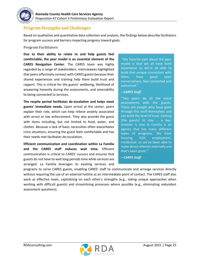

### **Program Strengths and Challenges**

Based on qualitative and quantitative data collection and analysis, the findings below describe facilitators for program success and barriers impacting progress toward goals.

#### **Program Facilitators**

**Due to their ability to relate to and help guests feel comfortable, the peer model is an essential element of the CARES Navigation Center.** The CARES team was highly regarded by a range of stakeholders. Interviewees highlighted that peers effectively connect with CARES guests because their shared experiences and training help them build trust and rapport. This is critical for the guests' wellbeing, likelihood of answering honestly during the assessments, and amenability to being connected to services.

**The respite period facilitates de-escalation and helps meet guests' immediate needs.** Upon arrival at the center, peers explain their role, which can help relieve anxiety associated with arrest or law enforcement. They also provide the guest with items including, but not limited to food, water, and clothes. Because a lack of basic necessities often exacerbates crisis situations, ensuring the guest feels comfortable and has their needs met facilitates de-escalation.

**Efficient communication and coordination within La Familia and the CARES staff reduces wait time.** Efficient communication is critical to CARES' success and ensures that guests do not have to wait long periods time while services are arranged. La Familia leverages its existing services and

"My favorite part about the peer model is that we all have lived experience so we're all able to build that unique connection with them, have good open conversations, feel connected and welcomed."

#### *– CARES Staff*

"Two peers do all the initial assessments with the guests. These are people who have gone through this stuff themselves and can build the level of trust. Getting [the guests] to stay … is key. Another is that la Familia is an agency that has many different types of programs. We have housing, SUD, employment, residential, so we've been able to make direct referrals internally and that's been great."

*– CARES Staff* 

programs to serve CARES guests, enabling CARES' staff to communicate and arrange services directly without requiring the use of an external hotline as an intermediate point of contact. The CARES staff also work as effective team, capitalizing on each other's strengths (e.g., taking unique approaches when working with difficult guests) and streamlining processes where possible (e.g., eliminating redundant assessment questions).

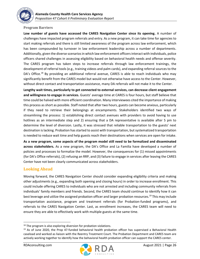

#### **Program Barriers**

**Low number of guests have accessed the CARES Navigation Center since its opening.** A number of challenges have impacted program referrals and entry. As a new program, it can take time for agencies to start making referrals and there is still limited awareness of the program across law enforcement, which has been compounded by turnover in law enforcement leadership across a number of departments. Additionally, given the diverse scenarios in which law enforcement officers interact with individuals, police officers shared challenges in assessing eligibility based on behavioral health needs and offense severity. The CARES program has taken steps to increase referrals through law enforcement trainings, the development of referral tools (e.g., training videos and palm cards), and expanding referral sources to the DA's Office.<sup>18</sup> By providing an additional referral avenue, CARES is able to reach individuals who may significantly benefit from the CARES model but would not otherwise have access to the Center. However, without direct contact and transportation assistance, many DA referrals will not make it to the Center.

**Lengthy wait times, particularly to get connected to external services, can decrease client engagement and willingness to engage in services.** Guests' average time at CARES is four hours, but staff believe that time could be halved with more efficient coordination. Many interviewees cited the importance of making this process as short as possible. Staff noted that after two hours, guests can become anxious, particularly if they need to retrieve their belongings at encampments. Stakeholders identified two ways of streamlining the process: 1) establishing direct contact avenues with providers to avoid having to use hotlines as an intermediate step and 2) ensuring that a DA representative is available after 5 pm to determine the level of diversion. Lastly, it was stressed that reliable transportation to the guests' next destination is lacking. Probation has started to assist with transportation, but systematized transportation is needed to reduce wait time and help guests reach their destinations when services are open for intake.

**As a new program, some aspects of the program model still need to be formalized and disseminated across stakeholders.** As a new program, the DA's Office and La Familia have developed a number of policies and processes to formalize the model. However, the consequences for (1) missed appointments (for DA's Office referrals), (2) refusing an RRP, and (3) failure to engage in services after leaving the CARES Center have not been clearly communicated across stakeholders.

### **Looking Ahead**

Moving forward, the CARES Navigation Center should consider expanding eligibility criteria and making other adjustments (e.g., expanding both opening and closing hours) in order to increase enrollment. This could include offering CARES to individuals who are not arrested and including community referrals from individuals' family members and friends. Second, the CARES team should continue to identify how it can best leverage and utilize the assigned probation officer and larger probation resources.<sup>19</sup> This may include transportation assistance, program and treatment referrals (for Probation-funded programs), and referrals to the CARES Navigation Center. Last, as enrollment increases, the CARES team will need to ensure they are able to effectively work with multiple guests at the same time.



 $18$  The program is also exploring diversion for probation violations.

<sup>&</sup>lt;sup>19</sup> As of June 2020, the Prop 47-funded behavioral health probation officer has supervised a Behavioral Health caseload and worked as liaison with the Reentry Treatment Court. The Probation Department and CARES team are actively working together to identify how the behavioral health probation officer can support the CARES center.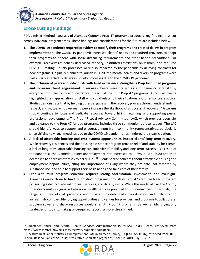

### <span id="page-26-0"></span>**Cross-Cutting Findings**

RDA's mixed methods analysis of Alameda County's Prop 47 programs produced key findings that cut across individual program areas. These findings and considerations for the future are included below.

- **1. The COVID-19 pandemic required providers to modify their programs and created delays in program implementation.** The COVID-19 pandemic increased clients' needs and required providers to adapt their programs to adhere with social distancing requirements and other health precautions. For example, recovery residences decreased capacity, instituted restrictions on visitors, and required COVID-19 testing. County processes were also impacted by the pandemic by delaying contracts for new programs. Originally planned to launch in 2020, the mental health and diversion programs were particularly affected by delays in County processes due to the COVID-19 pandemic.
- **2. The inclusion of peers and individuals with lived experience strengthens Prop 47-funded programs and increases client engagement in services.** Peers were praised as a fundamental strength by everyone from clients to administrators in each of the four Prop 47 programs. Almost all clients highlighted their appreciation for staff who could relate to their situations and offer concrete advice. Studies demonstrate that by helping others engage with the recovery process through understanding, respect, and mutual empowerment, peers increase the likelihood of a successful recovery.<sup>20</sup> Programs should continue to focus and dedicate resources toward hiring, retaining, and supporting peers' professional development. The Prop 47 Local Advisory Committee (LAC), which provides oversight and guidance to the Prop 47-funded programs, includes three community representatives. The LAC should identify ways to support and encourage input from community representatives, particularly since shifting to virtual meetings due to the COVID-19 pandemic has hindered their participation.
- **3. A lack of affordable housing and employment opportunities impact clients' long-term recovery.** While recovery residences and the housing assistance program provide relief and stability for clients, a lack of long-term, affordable housing can limit clients' stability and long-term success. As a result of the pandemic, the Alameda County unemployment rate increased to 14.6% in April 2020 and then decreased to approximately 7% by early 2021.<sup>21</sup> Clients shared concerns about affordable housing and employment opportunities, citing the importance of living where they are safe, not tempted by substance use, and able to support their basic needs and take care of their family.
- **4. Prop 47's multi-program structure requires strong coordination, investment, and oversight.**  Alameda County chose to fund four distinct programs through its Prop 47 grant, with each program possessing a distinct referral process, services, and data systems. While this model allows the County to address multiple gaps in behavioral health services provided to justice-involved individuals, the range and diversity of providers and program models make coordination and collaboration increasingly complex. Identifying opportunities and venuesfor providers and programs to collaborate, problem solve, and share resources would strength Prop 47 programs, as well as identifying any strategies or tools to make grant-required reporting more streamlined.



<sup>&</sup>lt;sup>20</sup> Substance Abuse and Mental Health Services Administration (SAMHSA). (n.d.). Peers. Retrieved from https://www.samhsa.gov/brss-tacs/recovery-support-tools/peers.

<sup>&</sup>lt;sup>21</sup> U.S. Bureau of Labor Statistics, Unemployment Rate in Alameda County, CA [CAALAM1URN], retrieved from FRED, Federal Reserve Bank of St. Louis; https://fred.stlouisfed.org/series/CAALAM1URN, July 11, 2021.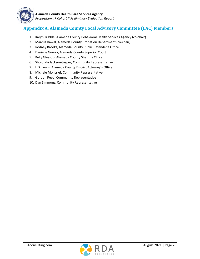

# <span id="page-27-0"></span>**Appendix A. Alameda County Local Advisory Committee (LAC) Members**

- 1. Karyn Tribble, Alameda County Behavioral Health Services Agency (co-chair)
- 2. Marcus Dawal, Alameda County Probation Department (co-chair)
- 3. Rodney Brooks, Alameda County Public Defender's Office
- 4. Danielle Guerry, Alameda County Superior Court
- 5. Kelly Glossup, Alameda County Sheriff's Office
- 6. Sholonda Jackson-Jasper, Community Representative
- 7. L.D. Lewis, Alameda County District Attorney's Office
- 8. Michele Moncrief, Community Representative
- 9. Gordon Reed, Community Representative
- 10. Dan Simmons, Community Representative

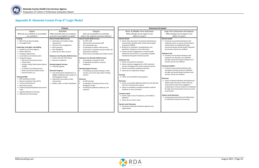



| act                                          |
|----------------------------------------------|
| Long-Term Outcomes and Impacts               |
| What changes do we expect to see             |
| within 3-5 years?                            |
| ental Health                                 |
| Formerly incarcerated individuals with       |
| moderate severe or serious and persistent    |
| mental illness are stabilized through        |
| community-based mental health treatment      |
| and services and do not reoffend             |
|                                              |
| ıbstance Use                                 |
| Formerly incarcerated individuals with       |
| substance use disorders are stabilized       |
| through community-based treatment and        |
| services and do not reoffend                 |
|                                              |
| <b>Dusing Condition</b>                      |
| Formerly incarcerated individuals with       |
| emergency housing needs are stabilized       |
| through community-based treatment and        |
| services and do not reoffend                 |
| version                                      |
| Justice-involved individuals with behavioral |
| health needs who have contact with law       |
| enforcement and/or have engaged in           |
| misdemeanor criminal conduct are stabilized  |
| through community-based services to avoid    |
| incarceration                                |
| stem Level Outcomes                          |
| Community partnerships and collaboration     |
| for MH/SUD treatment and housing             |
|                                              |
|                                              |

# <span id="page-28-0"></span>**Appendix B. Alameda County Prop 47 Logic Model**

**Process Outcomes & Impact**

|                                                                                                                                                                                                                                                                                                                                                                                                                                                            | <b>Process</b>                                                                                                                                                                                                                                                                                                                                                                                                                                                               |                                                                                                                                                                                                                                                                                                                                                                                                                                                                                                                                                                                                                         | Outcome                                                                                                                                                                                                                                                                                                                                                                                                                                                                                                                                                                                                                                                                                          |
|------------------------------------------------------------------------------------------------------------------------------------------------------------------------------------------------------------------------------------------------------------------------------------------------------------------------------------------------------------------------------------------------------------------------------------------------------------|------------------------------------------------------------------------------------------------------------------------------------------------------------------------------------------------------------------------------------------------------------------------------------------------------------------------------------------------------------------------------------------------------------------------------------------------------------------------------|-------------------------------------------------------------------------------------------------------------------------------------------------------------------------------------------------------------------------------------------------------------------------------------------------------------------------------------------------------------------------------------------------------------------------------------------------------------------------------------------------------------------------------------------------------------------------------------------------------------------------|--------------------------------------------------------------------------------------------------------------------------------------------------------------------------------------------------------------------------------------------------------------------------------------------------------------------------------------------------------------------------------------------------------------------------------------------------------------------------------------------------------------------------------------------------------------------------------------------------------------------------------------------------------------------------------------------------|
| Inputs                                                                                                                                                                                                                                                                                                                                                                                                                                                     | Activities                                                                                                                                                                                                                                                                                                                                                                                                                                                                   | Outputs                                                                                                                                                                                                                                                                                                                                                                                                                                                                                                                                                                                                                 | Short- & Middle-Term Outcomes                                                                                                                                                                                                                                                                                                                                                                                                                                                                                                                                                                                                                                                                    |
| What do we contribute to accomplish                                                                                                                                                                                                                                                                                                                                                                                                                        | What activities does our program                                                                                                                                                                                                                                                                                                                                                                                                                                             | Once we accomplish our activities,                                                                                                                                                                                                                                                                                                                                                                                                                                                                                                                                                                                      |                                                                                                                                                                                                                                                                                                                                                                                                                                                                                                                                                                                                                                                                                                  |
| our activities?                                                                                                                                                                                                                                                                                                                                                                                                                                            | area do to accomplish our goals?                                                                                                                                                                                                                                                                                                                                                                                                                                             | what is the evidence of service delivery?                                                                                                                                                                                                                                                                                                                                                                                                                                                                                                                                                                               | within 0-2 years?                                                                                                                                                                                                                                                                                                                                                                                                                                                                                                                                                                                                                                                                                |
| <b>Funding</b><br>• BSCC Prop 47 grant funding<br>• Leveraged funds<br>Leadership, Oversight, and Staffing<br>• Health Care Services Agency<br>• District Attorney<br>• Probation Department<br>• Local Advisory Committee (LAC)<br>• Funded Providers<br>o Bay Area Community Services<br>○ Center Point<br>○ Canales Unidos Reformando Adictos<br>(CURA)<br>o La Familia Counseling Services<br>o Roots Community Health Center<br>o Second Chance, Inc. | <b>Mental Health (MH) Services</b><br>• Administer and analyze intake<br>assessments<br>• Intensive case management<br>• MH treatment<br>• Peer Navigation<br>• Referrals for other services<br><b>Substance Use Disorder (SUD) Services</b><br>• Screen and refer SUD clients<br>• Recovery residences<br><b>Housing Support Services</b><br>• Housing supports<br><b>Diversion Program</b><br>• Law enforcement identification of<br>eligible individuals and transport to | <b>Mental Health (MH) Services</b><br># of RTT staff<br>$\bullet$<br># previously incarcerated staff<br>$\bullet$<br>RTT client/staff ratio<br>$\bullet$<br># individuals enrolled in MH services<br># who had 2+ treatment sessions within 30<br>days after enrollment<br>Service hours provided and number served<br>$\bullet$<br><b>Substance Use Disorder (SUD) Services</b><br># individuals screened for SUD<br># individuals enrolled in recovery<br>residences<br><b>Housing Support Services</b><br># individuals provided funding or other<br>$\bullet$<br>services, by service type and/or funding<br>amount | What changes do we expect to see<br><b>Mental Health</b><br>• Clients show decrease in functional impairment as<br>measured by repeated adult needs and strengths<br>assessment (ANSA)<br>• Reduction in psychiatric hospitalizations and<br>psychiatric emergency room admissions<br>• Clients maintain engagement in mental health<br>treatment and services or successfully complete<br>treatment during the treatment period<br><b>Substance Use</b><br>• Clients connected to treatment<br>• Clients maintain engagement in SUD treatment<br>services throughout the entire treatment period<br>• Clients successfully complete treatment<br>• Clients do not experience relapse<br>Housing |
| <b>Training &amp; EBPs</b><br>• BSCC guiding principles<br>• Reentry Treatment Team (RTT)<br>• Trauma-Informed Care<br>• Restorative Justice<br>• Evidence Based Risk/Needs Assessment<br>Tools<br>• Cognitive Behavioral Therapy<br>• Motivational Interviewing                                                                                                                                                                                           | the Navigation Center<br>• Administer and analyze intake<br>assessments<br>• Deflect, defer, or divert individuals                                                                                                                                                                                                                                                                                                                                                           | <b>Diversion</b><br># staff trainings<br># individuals receiving services at the<br>$\bullet$<br><b>Navigation Center</b><br># individuals deflected, deferred, and<br>$\bullet$<br>diverted                                                                                                                                                                                                                                                                                                                                                                                                                            | • Clients are provided housing supports<br><b>Diversion</b><br>• Clients successfully deflected, deferred, and divert<br>from the criminal justice system<br>• Clients on probation complete probation without<br>violations or new convictions<br><b>Criminal Justice</b><br>• Clients reduce rate of recidivism, per the BSCC's<br>definition<br>• Clients do not return to jail<br><b>System Level Outcomes</b><br>• Improved coordination between agencies and<br>organizations                                                                                                                                                                                                              |

*What changes do we expect to see within 3-5 years?* ase in functional impairment as deflected, deferred, and diverted **Mental Health** • Formerly incarcerated individuals with moderate severe or serious and persis mental illness are stabilized through community-based mental health treat and services and do not reoffend **Substance Use** • Formerly incarcerated individuals with substance use disorders are stabilized through community-based treatment services and do not reoffend **Housing Condition** • Formerly incarcerated individuals with emergency housing needs are stabilize through community-based treatment services and do not reoffend **Diversion**  $\bullet$  Justice-involved individuals with behav

#### **System Level Outcomes**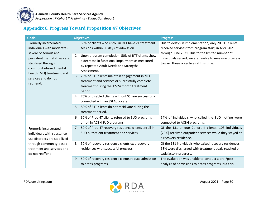

# **Appendix C. Progress Toward Proposition 47 Objectives**

<span id="page-29-0"></span>

| <b>Goals</b>                                                                                                                                                                                                                   | <b>Objectives</b>                                                                                                                                                                                                                                                                                                                                                                                                                                                                                                                                                                                     | <b>Progress</b>                                                                                                                                                                                                                                                  |  |
|--------------------------------------------------------------------------------------------------------------------------------------------------------------------------------------------------------------------------------|-------------------------------------------------------------------------------------------------------------------------------------------------------------------------------------------------------------------------------------------------------------------------------------------------------------------------------------------------------------------------------------------------------------------------------------------------------------------------------------------------------------------------------------------------------------------------------------------------------|------------------------------------------------------------------------------------------------------------------------------------------------------------------------------------------------------------------------------------------------------------------|--|
| Formerly incarcerated<br>individuals with moderate-<br>severe or serious and<br>persistent mental illness are<br>stabilized through<br>community-based mental<br>health (MH) treatment and<br>services and do not<br>reoffend. | 65% of clients who enroll in RTT have 2+ treatment<br>1 <sub>1</sub><br>sessions within 60 days of admission.<br>Upon program completion, 50% of RTT clients show<br>2.<br>a decrease in functional impairment as measured<br>by repeated Adult Needs and Strengths<br>Assessment.<br>3. 75% of RTT clients maintain engagement in MH<br>treatment and services or successfully complete<br>treatment during the 12-24 month treatment<br>period.<br>4. 75% of disabled clients without SSI are successfully<br>connected with an SSI Advocate.<br>5. 80% of RTT clients do not recidivate during the | Due to delays in implementation, only 20 RTT clients<br>received services from program start, in April 2021<br>through June 2021. Due to the limited number of<br>individuals served, we are unable to measure progress<br>toward these objectives at this time. |  |
|                                                                                                                                                                                                                                | treatment period.                                                                                                                                                                                                                                                                                                                                                                                                                                                                                                                                                                                     |                                                                                                                                                                                                                                                                  |  |
|                                                                                                                                                                                                                                | 60% of Prop 47 clients referred to SUD programs<br>6.<br>enroll in ACBH SUD programs.                                                                                                                                                                                                                                                                                                                                                                                                                                                                                                                 | 54% of individuals who called the SUD hotline were<br>connected to ACBH programs.                                                                                                                                                                                |  |
| Formerly incarcerated<br>individuals with substance<br>use disorders are stabilized<br>through community-based<br>treatment and services and<br>do not reoffend.                                                               | 7. 80% of Prop 47 recovery residence clients enroll in<br>SUD outpatient treatment and services.                                                                                                                                                                                                                                                                                                                                                                                                                                                                                                      | Of the 131 unique Cohort II clients, 103 individuals<br>(79%) received outpatient services while they stayed at<br>a recovery residence.                                                                                                                         |  |
|                                                                                                                                                                                                                                | 50% of recovery residence clients exit recovery<br>8.<br>residences with successful progress.                                                                                                                                                                                                                                                                                                                                                                                                                                                                                                         | Of the 131 individuals who exited recovery residences,<br>68% were discharged with treatment goals reached or<br>satisfactory progress.                                                                                                                          |  |
|                                                                                                                                                                                                                                | 50% of recovery residence clients reduce admission<br>9.<br>to detox programs.                                                                                                                                                                                                                                                                                                                                                                                                                                                                                                                        | The evaluation was unable to conduct a pre-/post-<br>analysis of admissions to detox programs, but this                                                                                                                                                          |  |

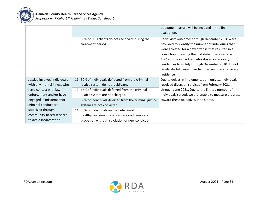

|                              |                                                                          | outcome measure will be included in the final<br>evaluation.                                                                                                                                                                                                                                                                                                                                             |
|------------------------------|--------------------------------------------------------------------------|----------------------------------------------------------------------------------------------------------------------------------------------------------------------------------------------------------------------------------------------------------------------------------------------------------------------------------------------------------------------------------------------------------|
|                              | 10. 80% of SUD clients do not recidivate during the<br>treatment period. | Recidivism outcomes through December 2020 were<br>provided to identify the number of individuals that<br>were arrested for a new offense that resulted in a<br>conviction following the first date of service receipt.<br>100% of the individuals who stayed in recovery<br>residences from July through December 2020 did not<br>recidivate following their first bed night in a recovery<br>residence. |
| Justice-involved individuals | 11. 50% of individuals deflected from the criminal                       | Due to delays in implementation, only 11 individuals                                                                                                                                                                                                                                                                                                                                                     |
| with any mental illness who  | justice system do not recidivate.                                        | received diversion services from February 2021                                                                                                                                                                                                                                                                                                                                                           |
| have contact with law        | 12. 65% of individuals deferred from the criminal                        | through June 2021. Due to the limited number of                                                                                                                                                                                                                                                                                                                                                          |
| enforcement and/or have      | justice system are not charged.                                          | individuals served, we are unable to measure progress                                                                                                                                                                                                                                                                                                                                                    |
| engaged in misdemeanor       | 13. 65% of individuals diverted from the criminal justice                | toward these objectives at this time.                                                                                                                                                                                                                                                                                                                                                                    |
| criminal conduct are         | system are not convicted.                                                |                                                                                                                                                                                                                                                                                                                                                                                                          |
| stabilized through           | 14. 50% of individuals on the behavioral                                 |                                                                                                                                                                                                                                                                                                                                                                                                          |
| community-based services     | health/diversion probation caseload complete                             |                                                                                                                                                                                                                                                                                                                                                                                                          |
| to avoid incarceration.      | probation without a violation or new conviction.                         |                                                                                                                                                                                                                                                                                                                                                                                                          |

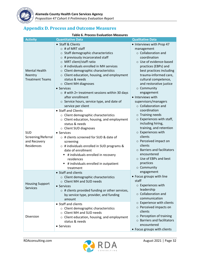

# <span id="page-31-0"></span>**Appendix D. Process and Outcome Measures**

#### **Table 6. Process Evaluation Measures**

| <b>Activity</b>                                                | <b>Quantitative Data</b>                                                                                                                                                                                                                                                                                                                                                                                                                                                                                           | <b>Qualitative Data</b>                                                                                                                                                                                                                                                                                                                                                                                                                                                                                                                                                                                                                                                                                                                                                                                                                                                                                                                                                      |
|----------------------------------------------------------------|--------------------------------------------------------------------------------------------------------------------------------------------------------------------------------------------------------------------------------------------------------------------------------------------------------------------------------------------------------------------------------------------------------------------------------------------------------------------------------------------------------------------|------------------------------------------------------------------------------------------------------------------------------------------------------------------------------------------------------------------------------------------------------------------------------------------------------------------------------------------------------------------------------------------------------------------------------------------------------------------------------------------------------------------------------------------------------------------------------------------------------------------------------------------------------------------------------------------------------------------------------------------------------------------------------------------------------------------------------------------------------------------------------------------------------------------------------------------------------------------------------|
| <b>Mental Health</b><br>Reentry<br><b>Treatment Teams</b>      | • Staff & Clients<br>$\circ$ # of MRT staff<br>o Staff demographic characteristics<br>$\circ$ # previously incarcerated staff<br>O MRT client/staff ratio<br>$\circ$ # individuals enrolled in MH services<br>Client demographic characteristics<br>O<br>o Client education, housing, and employment<br>status & needs<br>o Client MH diagnoses<br>• Services<br>$\circ$ # with 2+ treatment sessions within 30 days<br>after enrollment<br>$\circ$ Service hours, service type, and date of<br>service per client | • Interviews with Prop 47<br>management<br>o Collaboration and<br>coordination<br>o Use of evidence-based<br>practices (EBPs) and<br>best practices including<br>trauma-informed care,<br>cultural competence,<br>and restorative justice<br>o Community<br>engagement<br>• Interviews with<br>supervisors/managers<br>o Collaboration and<br>coordination<br>$\circ$ Training needs<br>$\circ$ Experiences with staff,<br>including hiring,<br>training, and retention<br>o Experiences with<br>clients<br>o Perceived impact on<br>clients<br>$\circ$ Barriers and facilitators<br>encountered<br>○ Use of EBPs and best<br>practices<br>o Community<br>engagement<br>• Focus groups with line<br>staff<br>$\circ$ Experiences with<br>leadership<br>o Collaboration and<br>communication<br>o Experience with clients<br>o Perceived impacts on<br>clients<br>o Perception of training<br>$\circ$ Barriers and facilitators<br>encountered<br>• Focus groups with clients |
| <b>SUD</b><br>Screening/Referral<br>and Recovery<br>Residences | • Staff and Clients<br>o Client demographic characteristics<br>o Client education, housing, and employment<br>status & needs<br>o Client SUD diagnoses<br>• Services<br>o # clients screened for SUD & date of<br>screening<br>$\circ$ # individuals enrolled in SUD programs &<br>date of enrollment<br># individuals enrolled in recovery<br>residences<br># individuals enrolled in outpatient<br>treatment                                                                                                     |                                                                                                                                                                                                                                                                                                                                                                                                                                                                                                                                                                                                                                                                                                                                                                                                                                                                                                                                                                              |
| <b>Housing Support</b><br><b>Services</b>                      | • Staff and clients<br>o Client demographic characteristics<br>○ Client MH and SUD needs<br>• Services<br>$\circ$ # clients provided funding or other services,<br>by service type, provider, and funding<br>amount                                                                                                                                                                                                                                                                                                |                                                                                                                                                                                                                                                                                                                                                                                                                                                                                                                                                                                                                                                                                                                                                                                                                                                                                                                                                                              |
| Diversion                                                      | • Staff and clients<br>o Client demographic characteristics<br>o Client MH and SUD needs<br>o Client education, housing, and employment<br>status & needs<br>• Services                                                                                                                                                                                                                                                                                                                                            |                                                                                                                                                                                                                                                                                                                                                                                                                                                                                                                                                                                                                                                                                                                                                                                                                                                                                                                                                                              |